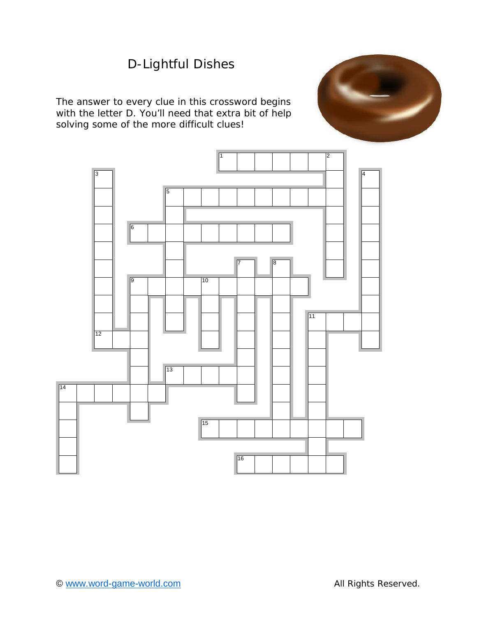# D-Lightful Dishes

The answer to every clue in this crossword begins with the letter D. You'll need that extra bit of help solving some of the more *difficult* clues!



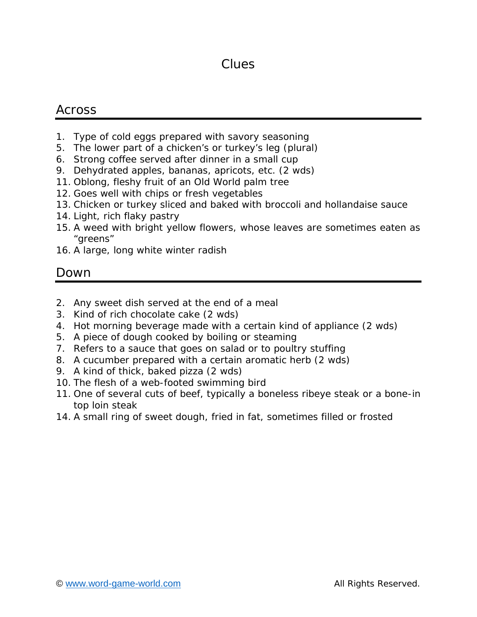## Clues

#### Across

- 1. Type of cold eggs prepared with savory seasoning
- 5. The lower part of a chicken's or turkey's leg (plural)
- 6. Strong coffee served after dinner in a small cup
- 9. Dehydrated apples, bananas, apricots, etc. (2 wds)
- 11. Oblong, fleshy fruit of an Old World palm tree
- 12. Goes well with chips or fresh vegetables
- 13. Chicken or turkey sliced and baked with broccoli and hollandaise sauce
- 14. Light, rich flaky pastry
- 15. A weed with bright yellow flowers, whose leaves are sometimes eaten as "greens"
- 16. A large, long white winter radish

#### Down

- 2. Any sweet dish served at the end of a meal
- 3. Kind of rich chocolate cake (2 wds)
- 4. Hot morning beverage made with a certain kind of appliance (2 wds)
- 5. A piece of dough cooked by boiling or steaming
- 7. Refers to a sauce that goes on salad or to poultry stuffing
- 8. A cucumber prepared with a certain aromatic herb (2 wds)
- 9. A kind of thick, baked pizza (2 wds)
- 10. The flesh of a web-footed swimming bird
- 11. One of several cuts of beef, typically a boneless ribeye steak or a bone-in top loin steak
- 14. A small ring of sweet dough, fried in fat, sometimes filled or frosted